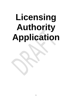# **Licensing Authority Application**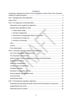| CONTENTS<br>Introductory statement by Chair of CILEx Regulation and the Chair of the Chartered |  |
|------------------------------------------------------------------------------------------------|--|
|                                                                                                |  |
|                                                                                                |  |
|                                                                                                |  |
|                                                                                                |  |
|                                                                                                |  |
|                                                                                                |  |
|                                                                                                |  |
|                                                                                                |  |
|                                                                                                |  |
|                                                                                                |  |
|                                                                                                |  |
|                                                                                                |  |
|                                                                                                |  |
|                                                                                                |  |
|                                                                                                |  |
|                                                                                                |  |
|                                                                                                |  |
|                                                                                                |  |
|                                                                                                |  |
|                                                                                                |  |
|                                                                                                |  |
|                                                                                                |  |
|                                                                                                |  |
|                                                                                                |  |
|                                                                                                |  |
|                                                                                                |  |
|                                                                                                |  |
| Protecting and promoting the public interest and the interests of consumers  25                |  |
|                                                                                                |  |

# Contante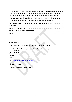| Promoting competition in the provision of services provided by authorised persons |  |
|-----------------------------------------------------------------------------------|--|
|                                                                                   |  |
| Encouraging an independent, strong, diverse and effective legal profession 27     |  |
| Increasing public understanding of the citizen's legal rights and duties 27       |  |
| Promoting and maintaining adherence to the professional principles  27            |  |
|                                                                                   |  |
|                                                                                   |  |
|                                                                                   |  |
|                                                                                   |  |
|                                                                                   |  |
|                                                                                   |  |

## **Contact Details:**

All correspondence about this application should be addressed to:

David Pope, Entity Authorisation and Client Protection Manager CILEx Regulation Kempston Manor Kempston Bedford MK42 7AB

Email: [david.pope@cilexregulation.org.uk](mailto:Helen.whiteman@cilexregulation.org.uk)

Tel: 01234 845702

Company registration number: 0671409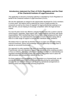## <span id="page-3-0"></span>**Introductory statement by Chair of CILEx Regulation and the Chair of the Chartered Institute of Legal Executives**

This application to become a licensing authority is submitted by CILEx Regulation on behalf of the Chartered Institute of Legal Executives (CILEx).

We see this application as integral to the opportunities developed for CILEx members in recent years. We believe that by widening the choice of legal providers for consumers as well as the choice of regulator for legal professionals seeking to run their own firm, we are helping to encourage competition within the legal services market.

For over 50 years CILEx has offered a uniquely flexible route into a career in law for school leavers, graduates, legal support staff, mature students and those with family responsibilities. With membership drawn from a wider social background than other legal professions, we understand the importance of CILEx members being able to draw on a wide range of support to achieve their individual career ambitions.

We believe that it is right that we therefore ensure our firms are also able to bring external investment, advice and knowledge into their ownership to enable them to operate as successful businesses.

Our approach to entity regulation has been risk based and outcomes focused. Proportionate rules and regulations support high standards whilst enabling providers to focus on delivery. Our entity authorisation has been founded on understanding our regulated members' business models and ensuring that entities have in place the right processes and procedures to deliver on day one.

For those seeking to be regulated by CILEx Regulation as a licensed body, we will provide the same support and business understanding during the authorisation process. We are confident we have built on strong operational arrangements to deliver a robust and proportionate licensing programme.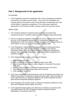# <span id="page-4-0"></span>**Part 1: Background to the application**

## *In summary*

1. CILEx Regulation submits this application with a view to developing competition and diversity in the legal services market. CILEx and CILEx Regulation are uniquely placed in the market in terms of the diversity of membership and a lack of prescription in regulatory arrangements. This could present significant opportunity for new business models, working cultures and consumer choice.

## <span id="page-4-1"></span>*About CILEx*

- 2. The Chartered Institute of Legal Executives (CILEx) is the professional membership body for Chartered Legal Executives and other legal professionals.
- 3. CILEx is an approved regulator under section 20 of the Legal Services Act 2007 (the Act). CILEx Regulation (previously ILEX Professional Standards) was established by CILEx in accordance with the provisions of the Act and clause 13 of its Charter, to carry out regulatory activities in October 2008.
- 4. CILEx Regulation's independence is safeguarded under existing governance rules as well as the Legal Services Act itself. In addition to the Internal Governance Rules, there are protocols in place to govern the arrangements between CILEx and CILEx Regulation in order to ensure the independence of regulatory functions.
- 5. CILEx Regulation has powers to authorise the following:
	- rights to administer Oaths;
	- rights of audience to Chartered Legal Executives since 1998;
	- rights of audience and rights to conduct litigation to Associate Prosecutors since 2011.
	- rights to conduct litigation to Chartered Legal Executives since 2014;
	- reserved instrument and probate rights since 2014;and
	- entity regulation since 2015.
- 6. CILEx was a designated professional body under the Immigration and Asylum Act 1999 for the purpose of awarding immigration practice rights. Under Schedule 18 of the Legal Services Act, approved regulators who award immigration practice rights became designated qualifying regulators.
- 7. CILEx Regulation has had the power to authorise immigration practitioners since 2001 and immigration practice rights since 2014.
- 8. In this application legal practices are referred to as entities in accordance with The Legal Services Act 2007 (Chartered Institute of Legal Executives) (Modification of Functions) Order 2014.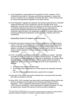- 9. CILEx Regulation is responsible for the regulation of CILEx members, CILEx Practitioners and entities. It develops and promotes standards of conduct and ensures compliance by its regulated community with them. It has a strong record for robust and proportionate regulation in the public interest.
- 10.CILEx Regulation regulates the education and training requirements for Chartered Legal Executives and CILEx Practitioners and has oversight of the CILEx qualification schemes which deliver the academic requirements for admission as a Chartered Legal Executive and CILEx Practitioner. It is responsible for assessing the qualifying employment and work based learning scheme for Chartered Legal Executives, the qualification schemes for practice rights and the continuing professional development scheme for CILEx members and CILEx Practitioners.

## *Expanding choices for lawyers and consumers*

- 11.Diversity and access to legal services are known problems in the legal services market. Only 33% of consumers with a legal need will seek professional advice. Only 10% will take advice from a solicitor or barrister (IPSOS MORI 2016). In addition, according to a Kingston University research report in 2015 on the legal needs of small businesses<sup>[1](#page-5-0)</sup>, 83% of businesses see legal services as unaffordable.
- 12.CILEx provides a uniquely accessible route to qualifying as a lawyer. Members can begin the study of law at a low cost while working full-time. In addition, the CILEx route has traditionally been the only route to qualification as a lawyer which does not require university attendance. This has always offered a diversity of opportunity which is borne out by the make-up of the CILEx membership. For example:
	- 75% of the total membership are female;
	- 81.5% of the total membership do not have parents who attended university; and
	- only 2% of the total membership have a parent who is a lawyer.
- 13.Unusually CILEx lawyers also tend to develop from a very junior level and work their way up, learning 'on the job'.
- 14.Since 2015, CILEx members have been able to work towards setting up their own law firm, providing reserved legal services through authorisation by CILEx Regulation. This is a significant step forward in opening up opportunities to CILEx's diverse membership. More importantly for regulatory purposes, it is also an opportunity to expand the diversity of service providers available to

<span id="page-5-0"></span> $1$  The legal needs of small businesses An analysis of small businesses' experience of legal problems, capacity and attitudes R Blackburn, J Kitching, G Saridakis Kingston University 2015  $\overline{a}$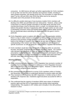consumers. An ABS licence will open up further opportunities for CILEx members to set up their own law firm and to develop new business models, including to seek outside investment. We already know from The Innovation in Legal Services report<sup>[2](#page-6-0)</sup> by the LSB and SRA (July 2015) that ABSs tend to be strong on innovation and in the provision of new services.

- 15.It is difficult to predict what type of new business models CILEx members will develop once ABSs are permitted and over what period. However, what is clear is that there is a need for greater innovation in the legal sector and that CILEx membership brings a level of diversity which is unique. As indicated above, we believe that greater diversity of opportunity within the legal market can also assist in developing consumer choice and finding better ways to deliver better services. We are passionate about submitting this application with this goal in mind in particular.
- 16.CILEx Regulation wants to explore with different types of organisation whether there is a way to widen choice to consumers by linking strong existing business services to the provision of legal advice to consumers via ABS. We will look to build on the findings of research that suggests we are seen as having a *'better understanding of the market'* and *'likely to be more in tune with the needs of specific businesses'* as well as being the *'natural choice'* regulator for members*.*
- 17.CILEx members would also have the benefit of operating within an outcomes focused, risk based, proportionate and flexible regulatory regime. Our conduct rules demand high standards of those we regulate but without being overly prescriptive or disproportionate. We believe that investors and lawyers will have significant freedom to structure businesses in a manner which best suits them and their client base without having to work around inflexible limitations.

#### *Meeting demand*

- 18.Since commencing entity regulation CILEx Regulation has received a number of enquiries from businesses interested in setting up a CILEx Regulation licensed ABS or transferring to the CILEx Regulation regime. However, to date we have been unable to progress these enquiries.
- 19.We commissioned IRN Research to survey CILEx members online in October and November 2015 to help us understand demand for practice rights and ABS.
- 20.They received an 8% response rate (897 responses). A similar survey in 2013 showed a 9% response rate. Chartered Legal Executives accounted for 68% of responders.
- 21.This confirmed that the majority of members (83%) were aware of individual practice rights and that 32% of respondents were positive about operating independently. This equates to 287 entities and is broadly in line with previous research in 2013.

<span id="page-6-0"></span> $2$  Innovation in Legal Services S Roper et al 2015 for the Legal Services Board and the Solicitors Regulation Authority  $\overline{a}$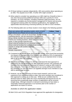- 22.Of those looking to operate independently, 48% were positive about operating as an ABS. This equates to114 ABS. A further 30% might consider it.
- 23.When asked to consider how operating as an ABS might be of benefit to them, it was clear that accessing additional business skills was a priority for CILEx members. As CILEx members, including Chartered Legal Executives, are not required to complete any formal practice management or finance and accounts management training within the individual qualifications, this highlights the opportunities that becoming a licensing authority can offer to CILEx members.

| There are various ABS operating models, which of these       | <b>Fellow</b> | Total |
|--------------------------------------------------------------|---------------|-------|
| might interest you (Please tick as many as you like)?        |               |       |
| Bring a non-lawyer, such as an accountant, finance director, | 63            | 65    |
| marketing director, into the ownership of the business       |               |       |
| Bring a family member into ownership of the business         | 19            | 24    |
| Extend your existing business, which has a non-lawyer        |               | 23    |
| owner, to also provide reserved work                         |               |       |
| Attract external funding from an individual investor         | 22            | 27    |
| Attract external funding from an institutional investor      |               | 18    |
| Acquire or merge with another business                       | 26            | 30    |
| Other models                                                 | 9             | 10    |
| Sample respondents                                           | 276           | 1.225 |
|                                                              |               |       |

24.The following table sets out these results in more detail to the following question:

- 25.Compared to the results of the 2013 LSB ABS survey, which found that promoting non-lawyers to management of the business was valued by 23% of respondents, this indicates that many CILEx members see this as an important driver in being able to set up their own business.
- 26.We conducted further research in 2017 to understand the best approach to addressing risk and developing our ABS application process. We contacted 197 members who had previously expressed an interest in using an ABS model for they own entity. There were 44 responses to our survey (22%) and we believe this reinforces our view that there is an appetite amongst CILEx members to use ABS to deliver legal services.
- 27.However, we are also conscious of more recent research, and our own experience from regulating entities to date, that some members are considered in their approach to setting up on their own. While we are confident that the demand exists for ABSs within the CILEx membership and beyond we are not assuming that exceptionally large numbers of applications will be received straight away. Although research on demand is promising we have taken a reasonably measured approach in our business plan to the number of applications we expect to receive.

#### *Activities to which this application relates*

28.Both CILEx and CILEx Regulation have approved this application for designation.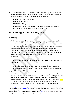- 29.This application is made, in accordance with rules issued by the Legal Services Board under Part 1 of Schedule 10 of the Act, for CILEx to be designated as a licensing authority for the following reserved legal activities:
	- the exercise of rights of audience:
	- the conduct of litigation;
	- probate activities;
	- reserved instrument activities: and
	- the regulated legal activity, provision of immigration advice and services, in accordance with the Immigration and Asylum Act 1999.

# <span id="page-8-0"></span>**Part 2: Our approach to licensing ABSs**

## *In summary*

- 30.While there are clear differences in the regulatory framework between 'traditional' practices and ABSs, we are not satisfied that there is reliable evidence to suggest that ABSs pose a greater regulatory risk of consumer detriment (or otherwise)<sup>[3](#page-8-1)</sup>. The statutory regime already requires regulators to subject ABSs to a number of in-depth and prescriptive checks. This includes applying fit and proper assessments to certain owners and parent undertakings of owners where applicable. There are also statutory duties placed upon investors and other nonlawyers involved in ABSs to not obstruct compliance with regulatory requirements.
- 31.With these points in mind our approach to regulating ABSs broadly seeks where possible to:
	- apply existing standards for our CILEx Authorised Entities to ABSs; and
	- build upon the existing statutory framework and requirements for regulating ABSs and investors.
- 32.We recognise that regulating ABSs will at times involve assessing more complex ownership structures than is presently the case and applying a number of technical requirements for the first time. So we will amend our existing processes to take these into account. We have conducted research with interested members on how we may best do this and this is set out in Part 5 and Annex XXX This research indicates that our approach to addressing the additional requirements is likely to be effective in obtaining the additional information

<span id="page-8-1"></span><sup>&</sup>lt;sup>3</sup> While some [press reports](https://www.lawgazette.co.uk/comment-and-opinion/abs-failures-show-law-is-no-easy-ride/5052368.article) have highlighted a number of ABSs which have failed to live up to expectations or failed altogether, a recen[t government report](https://www.gov.uk/government/uploads/system/uploads/attachment_data/file/535499/legal-services-removing-barriers-to-competition.pdf) highlighted that to date complaints data suggests that there is no greater risk posed by ABSs in service terms and that front-line regulators appear to have formed the same view more broadly. This is supported by recent comments by the [SRA:](http://www.sra.org.uk/sra/news/press/sra-response-abs-consultation.page) "All the evidence suggests ABS are good for competition and improving choice, while posing no greater regulatory risk.".  $\overline{a}$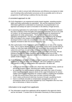required. In order to ensure both effectiveness and efficiency we propose to make use of existing entity authorisation processes as far as possible and to roll out a programme of staff training to address this key risk areas.

## *A consistent approach to risk*

- 33.CILEx Regulation is an experienced activity based regulator, awarding practice rights and entity authorisation by specialism. We use this experience and the information gathered to understand our businesses, be proportionate in our approach and always be open to innovation in the delivery of legal services.
- 34.In assessing applications for authorisation of entities CILEx Regulation assesses the risks to delivery of the Principles and supporting Outcomes set out in its Code of Conduct. Its risk assessment framework forms the basis for assessment of applications for entity authorisation. The framework forms part of existing regulatory arrangements. This has been provisionally reviewed by the Strategic Risk Committee in the context of ABS regulation, The frameworks will be developed further to take into consideration risks with ABS around ownership and regularly reviewed to take into account emerging risks.
- 35.After authorisation CILEx Regulation gathers intelligence on risks on an ongoing basis. This is used to identify areas for supervision activity and to provide alerts to entities on risks that might affect them. Our recent work has covered the risks of cybercrime and fraud, as well as the increased demands that the Money Laundering Regulations 2017 will present to the supervised community. We are looking to develop this further based on work already carried out on Risk Management information provided via the CILEx Regulation website and by Risk update emails to entities.
- 36.CILEx Regulation will adopt a broadly consistent approach to ABS and non-ABS applicants by using the same risk framework, with some additions to address risks specific to ABS, for authorisation and supervision. All ABSs will:
	- make annual information returns and, where they hold client money, submit an annual accountant's report, informing each entities risk profile;
	- be subject to First-tier complaints handling rules within the Code of Conduct which require entities to signpost clients to the Legal Ombudsman for service matters (and to CILEx Regulation for conduct matters), enabling the escalation of high-risk events where these have not been resolved informally;
	- have in place professional indemnity insurance through a qualifying insurer;
	- have to contribute annually to compensation arrangements set up to recompense clients of an entity regulated by CILEx Regulation who incur loss due to dishonesty or failure to account.

## <span id="page-9-0"></span>*Information to be sought from applicants*

37.The information sought from applicants will be targeted to the approval criteria and be risk based. A certain level of information necessary for these purposes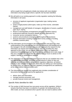will be sought from all applicants initially (see below) with more detailed information only being sought where a specific risk has been identified.

- 38.We will build on our existing approach to entity regulation seeking the following information in all cases:
	- structure of applicant organisation (organisation type, trading names, premises);
	- area/s of legal practice (client types, make up of fee income, vulnerable clients);
	- management and staff (details of managers, identification of owners, qualified staff, HoLP, HoFA);
	- fitness to own/regulatory arrangements (previous regulatory history);
	- professional Indemnity Insurance (details of CILEx approved PII);
	- consumer service (complaints history);
	- systems and procedures (managing risk throughout the business);
	- financial information including holding client money (source of funding, cashflow, business plan).
- 39.This information can be provided in the application form and gives us a clear understanding of the proposed law firm and the experience and background of the managers. We will continue to discuss with applicants the reasons for the information we request and how this is to be used. By providing this clear approach at the outset, we can identify gaps and/or risks in an applicant's experience /knowledge /approach so these can be addressed at an early stage. If they are a member they would then be referred back to CILEx to advise on the support, training, or qualifications required.
- 40.The information we request is designed to ensure that we can establish that a firm has appropriate individuals, processes and procedures in place on day one. Although primarily intended to safeguard the regulatory objectives, we believe that this is also valuable for applicants where they are setting up a new business for the first time, as it ensures that their regulatory arrangements are satisfactory at the outset before they commence work.
- 41.The information we request from applicants also includes consideration of documents that should be used by the applicant to:
	- deliver client care information;
	- manage business processes, and
	- provide financial control and management.

## <span id="page-10-0"></span>*Specific Risks identified for ABS*

42.The number of ABS licensed has now grown across all the regulators. Whilst it remains that there has been no evidence of a greater risk being posed by the ABS model, we have considered which specific risks we need to address within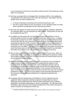our risk framework and how we may build continual review of this particular sector within our processes.

- 43.We have consulted with our Strategic Risk Committee (SRC) on the additional considerations that should form part of the risk framework. They believe that the specific risks we need to address are:
	- to clearly understand ownership and connected businesses; and
	- the risk of undue influence from non-lawyers on the standards within an entity, which should be incorporated into the assessment process.
- 44.We have also agreed to review and set out clearly how the regulatory objectives are achieved within our risk framework for ABS entities. These pieces of work will be completed during 2017.
- 45.In addition we discussed with our Qualifying Insurers their attitude to risk for licensed bodies and the key areas that they would want us to assess. In addition to the points covered by our SRC, they raised concerns around external funding and the risks that this can pose around undue influence, money laundering and protecting the interests of the consumer. We will draw on the recent research on investment in ABS to ensure that the benefits of innovation that can come from investment are not stifled<sup>4</sup>. The nature of the applications we expect to receive will mean that these types of ABS will be the exception and therefore we will reflect this within the changes to our risk framework and assessment process.
- 46.We are open to considering innovative business models, as we have, within our authorisation team, experience in assessing the risks posed by business models and complex structures both from a commercial view and around issues such as money laundering requirements.
- 47.Each licensed body will be required to explain its business and its constituent practice areas to allow CILEx Regulation to understand the aspects of the practice which will need to be assessed. CILEx Regulation will also want to understand the relationship to any non-legal services that the applicant body provides and/or to any associated businesses, so as to ensure consumers are clear on the services provided under the licence and that they have the necessary protections in place. Our focus in this regard is upon ensuring transparency for the consumer and no blanket prohibitions as to separate businesses are proposed.
- 48.In keeping with the requirements of Schedule 13 to the Legal Services Act applicants will be expected to identify proposed restricted interest owners. Applicants will be guided that this should include confirmation of any relevant paragraph 5 associate relationships or parent undertakings. We will seek broad information about structure and funding arrangements to the extent necessary to satisfy ourselves of the approval criteria set.

\_\_\_\_\_\_\_\_\_\_\_\_\_\_\_\_\_\_\_\_\_\_\_\_\_\_\_\_\_\_\_\_

<sup>4.</sup> Evaluation: ABS and investment in legal services 2011/12-2016/17 by the Legal Services Board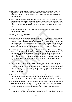- 49.Our research has indicated that applicants will want to engage early with the regulator in a structured format so we understand the business model and ownership structure. They will then confirm this via their business plan and/or application form.
- 50.We are mindful however of the practical and legal limits upon a regulator's ability to accurately and effectively assess long term financial stability and best practice in governance. We will have regard to these areas but our focus will remain upon satisfying the approval criteria set and managing identified areas of regulatory risk.
- 51.Within the widened scope of our SRC we will review regularly regulatory risks relating specifically to ABS.

## *Assessing ABS applications*

- 52.Risk assessments will be conducted in respect of all the legal services provided by the licensed body encompassing reserved, regulated, and non-reserved activities. Whilst CILEx Regulation will not extend risk assessments to other nonlegal services that the applicant body may provide, we will wish to understand the relationship of these services to the areas of law for which the body is granted a licence. We will not seek further information unless a specific risk is identified.
- 53.At this stage we are not proposing to authorise multi-disciplinary practice (MDP) ABSs. In due course we are likely to seek to do so for the same reasons that this application is being made. However, we are conscious of the complexities of regulating MDPs and consider that CILEx Regulation would benefit from additional time to learn from regulating ABSs before proceeding to that stage. We have sought advice from stakeholders on this approach and considered any potential risks.
- 54.In practice and in light of the flexibility of our existing regulatory arrangements in particular, we anticipate that applicants will be able to achieve a very similar effect for consumers in any event by ring-fencing the legal services entity as a separate subsidiary company. This would not prevent a firm from working in conjunction with a connected business provided that there was clarity for consumers on the business relationship..
- 55.This will enable us to focus on the risks associated with the provision of legal services and utilise the best practice that we have gained from our existing entities. That then provides clarity to those staff working within the licensed entity.
- 56.By not regulating MDP's at this stage, it will also mean that we can be clear to our ABS entities on our approach to meeting the changing expectations on provision of clear consumer information by our entities, for example, the availability and scope of client protection that an entity provides. This will assist consumers.
- 57.In order to be consistent in the assessment of risk, our existing risk framework will be used to risk assess licensed bodies. The aim of the risk framework is to ensure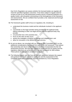that CILEx Regulation can assess whether the licensed bodies we regulate will meet the specified regulatory outcomes. It has been subject to regular external scrutiny as part of our self-assessment reviews and by a financial institution as a quality review, with all parties commenting on the thoroughness of the framework and assessments. We are confident that it provides a fair, balanced and thorough assessment of risk.

58.The framework guides staff to focus on regulatory risk, including to:

- understand the business model and the individuals involved in the applicant body;
- concentrate on the legal activities being provided by the applicant body, without extending to other non-legal services that the applicant body may provide;
- not prescribe how a firm practises law;
- focus on the risks as they occur;
- assess the strategies it employs to manage and mitigate them; and
- allow for innovation in the delivery of legal services.
- 59.As set out above, we consulted with our Strategic Risk Committee (SRC) on the additional considerations that should form part of the risk framework. They believe that ownership and risk of undue influence should be incorporated into the risk assessment process. We have also agreed to review and set out clearly how the regulatory objectives are achieved within our risk framework for ABS entities. These pieces of work will be completed during 2017.
- 60.The following graphic sets out how we maintain separation between the support and guidance that CILEx provide to applicants and the assessment of the completed application against the required standards by CILEx Regulation.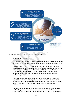

<span id="page-14-0"></span>61.In terms of operational process this will be as follows:

#### *1. Initial enquiry stage*

Our research has shown that there is a need to demonstrate an understanding of the market for licensed bodies and the particular needs of each applicant.

CILEx is developing its capability to deal with initial enquiries from those individuals interested in operating their own firm and establishing whether they meet the criteria to become an ABS or non-ABS. CILEx Regulation will be sharing with CILEx the research it has carried out into the information applicants require and how they would wish to be supported during the application process.

CILEx Regulation will engage informally at the outset with any applicant, especially where the ownership structure or business model may require a detailed understanding. We will develop the systems for applicants to clearly set out these structures and business models based upon the survey feedback.

We are confident that we have the skills within our existing team to assist applicants gain a clear knowledge of the requirements prior to formal submission of an application. Additional specialist training is being arranged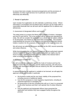to ensure that more complex structural arrangements and the provisions of Schedule 13 of the Legal Services Act in particular can be assessed effectively and efficiently.

#### <span id="page-15-0"></span>2. Receipt of application

Upon receipt of an application we will undertake a preliminary review. Where information is incomplete and we believe that a decision can be made within a reasonable timescale then we will work with the applicant firm to address any deficiencies.

#### <span id="page-15-1"></span>*3. Assessment of designated officers and owners*

The initial review is to assess the fitness and suitability of owners, managers and HoLPS and HoFAs. This is key as they will be running and operating the entity. We will not consider the application as a whole until all matters relating to 'fit and proper' and 'fitness to own' have been investigated. This includes understanding the structure of the business and identifying restricted interest holders ('owners') for the purposes of Schedule 13 to the Legal Services Act.

We will ensure we address the issues identified by the SRC around ownership and undue influence.

While licensing authorities are required to approve all non-authorised material interest holders we recognise that licensing authorities can rightly vary the level of scrutiny applied dependent upon the nature of the interest held in order to ensure proportionality of process.

#### <span id="page-15-2"></span>*4. Assessment of entity risk*

We will consider the application against the Code of Conduct and how the applicant meets the nine principles and the stated outcomes. We will ensure that any risks associated with ABS that are raised by the SRC are addressed at this stage.

In assessing whether an applicant is suitable to be licensed, we will apply the approval criteria and consider in particular:

- the business model and the very basic viability of the proposed firm, including sources of additional capital;
- how the firm proposes to meet regulatory requirements, including its proposed approach to managing risk;
- the governance of the firm including who will run it, how it is connected to any other business and that it can operate free of undue influence; and
- how the applicant and designated officers have presented the application and whether they have engaged frankly throughout the process.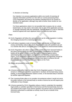#### <span id="page-16-0"></span>*5. Decision on licensing*

Our intention is to process applications within one month of receiving all required information and this is in line with our current processing times. CILEx Regulation will observe the statutory standard limit of six months to decide on an application, although may seek a further three months for nonstandard cases.

For those applications where it is not possible fully to assess risk on a deskbased basis, we may seek a risk review visit as part of the application process or arrange interviews with key individuals. Specific details of a visit or interview would be agreed with each applicant body on a case-by-case basis.

#### <span id="page-16-1"></span>*Fees*

- 62.CILEx Regulation will follow the same principles as for entity regulation in setting the charging structure for a licensing application.
- 63.It will reduce regulatory costs to licensed bodies who decide not to hold client money and thereby reduce risk. CILEx Regulation's costs will continue to be set in a manner that aims to not restrict entry to the market for small licensed bodies.
- 64.CILEx Regulation will collect compensation contributions from licensed bodies in the same manner as for non-ABS. Compensation contributions for licensed bodies will be set at a level to cover the costs of insuring against claims, administering the compensation arrangements and handling compensation claims. CILEx Regulation intends that its compensation arrangements should be self-sufficient in future but recognises that the time taken to achieve this will depend upon demand for regulation and claims on the Fund.
- 65. Details are provided in Annex XXX

<span id="page-16-2"></span>*Licence*

- 66.A licence takes effect from the date that CILEx Regulation grants it. The licence remains in effect until it is either suspended or revoked, the licensed body ceases trading, is wound up or otherwise ceases to exist, or the licensed body is licensed by another approved regulator.
- 67.The Licensing Rules allow us to consider circumstances where it would not serve the public interest or the licensed body to revoke a licence but we will require prior notification of any changes.
- 68.A licence granted by CILEx Regulation allows a body to undertake the regulated legal activity or activities specified in that licence and the licensed body must not act outside of the scope of any licence granted. Any person who is not licensed or otherwise authorised to undertake an activity must not act on behalf of the licensed body.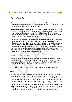69. A licence is granted subject to the terms stated in the Licensing Rules at **Annex** XXX.

## <span id="page-17-0"></span>Post authorisation

- 70.Once a licence has been granted, then the licensed body will be subject to our existing monitoring and supervision arrangements, including an annual return and accountants report where client money is held.
- 71.We believe that early engagement will be especially important for an ABS, where its owners, designated officers, managers and employees may not have operated under similar regulatory rules before. This will help to both inform our risk assessment processes for ABS and protect the public by ensuring they are fully aware of their risk management obligations.
- 72.Our research covered how we can ensure that employees in an ABS understand how regulation applies to them and those areas that they see as key. They indicated demand for enhanced guidance and accredited courses with particular sections of our website that provide material for all staff on their obligations. These should particularly be around practice and accounts management, scope of professional indemnity insurance and legislation including anti-money laundering requirements, data protection and cyber-crime prevention. We will look to develop this as part of the implementation work

## *Budget and business plan*

73.In addition to the information provided within this application, we have attached a fully costed business case setting out the rationale for becoming a licensing authority, together with the CILEx Regulation audited accounts for 2016 and our draft budget for 2018. Details can be found in annex XX.

## <span id="page-17-1"></span>**Part 3: Licensing rules and regulatory arrangements**

#### *In summary*

74.As summarised above, CILEx Regulation proposes to operate licensing rules which primarily reflect statutory requirements and apply existing regulatory arrangements to ABSs. We have designed and consulted upon CILEx Regulation Licensing Rules which will govern ABS authorisation. These rules address the majority of what the Legal Services Act requires to be set out in regulatory rules. However, we are also proposing to make changes to our conduct, accounts, indemnification, compensation and disciplinary rules in order to bring ABSs and ABS managers, employees and (where appropriate) owners within the scope of existing arrangements. We consider that our approach is consistent in offering a proportionate and flexible framework for authorising new businesses while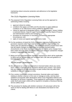maintaining robust consumer protection and adherence to the legislative framework.

## <span id="page-18-0"></span>*The CILEx Regulation Licensing Rules*

- 75.The proposed CILEx Regulation Licensing Rules set out the approach to authorising entities including:
	- approval criteria for entities;
	- conditions that apply to all ABSs and the discretion to apply additional conditions on an ABS licence where justified by identified risks;
	- criteria for approval of designated officers, namely managers, owners holding a restricted interest, Head of Legal Practice (HoLP) and the Head of Finance and Administration (HoFA) and managers;
	- procedure for suspension or revocation of a licence in appropriate circumstances; and
	- rights of review and appeal against decisions made.
- 76.For the avoidance of doubt the CILEx Regulation Licensing Rules contain the provisions required under Part 5 and Schedule 11 of the Legal Services Act. These rules are attached at Annex 1. The additional annexes include those rules that will require changes to enable them to extend to licensed bodies. *Amendments to the Rules have been consulted on.* While some changes have been made since the initial consultation there have not been substantive changes in policy or approach over that time.
- 77.Below we have summarised the regulatory requirements which will be applicable to ABSs and set out how these are consistent with LSB rules and guidance on licensing applications.

<span id="page-18-1"></span>*'Fit and proper' assessments*

- 78.We will extend our current arrangements to licensed bodies where any owner, HoLP, HoFA or manager will be required to declare prior conduct. This means they are required to provide information on past conduct that may affect their suitability to own and manage an entity.
- 79.Prior conduct covers past criminal convictions, financial orders and matters relating to whether a person is fit to own or manage an entity, and has been updated to incorporate wider declarations which CILEx Regulation believes are necessary for all those it regulates. Those applying for authorisation or approval under the fit and proper criteria will be required to complete a Disclosure Barring Service (DBS) check.
- 80.The procedure for dealing with whether someone is fit and proper will be the same as that for dealing with fitness to own declarations but based on new criteria.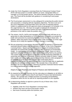- 81.Under the CILEx Regulation Licensing Rules the Professional Conduct Panel (PCP) will have power to consider whether an owner, designated officer or manager is a fit and proper person. This will be deemed a decision on fitness to own. The Panel will be provided with guidance in considering fit and proper declarations.
- 82.The fit and proper assessment is a key safeguard for protecting the public interest and consumers, in keeping with the regulatory objectives. The test is set out in the CILEx Regulation Licensing Rules and in the case of restricted interest holders is supplemented by the approval criteria at paragraph 6 of Schedule 13 to the Legal Services Act. We have not sought to duplicate the Schedule 13 requirements as to approval of owners but have cross-referenced these provisions in the rules to make the position clear.
- 83.The owners, HoLPs, HoFAs and managers of a licensed body will have an ongoing duty to make declarations to CILEx Regulation to enable us to protect the public and consumers by assessing that they remain fit to be in these roles. In addition, ABSs and owners have ongoing duties under Schedule 13 of the Legal Services Act to notify the regulator of certain changes in ownership.
- 84.We are proposing to exercise our discretion to deem all partners in a partnership restricted interest holders (see our definition of 'owner' in the CILEx Regulation Licensing Rules). Based upon current trends in respect of existing licensing authorities we would firstly typically expect an ABS to choose an incorporated model. In a partnership and particularly partnerships 'at will', there is a risk of significant authority and influence within the business being held by any partner. This control could operate distinct to the main tests for assessing materiality of ownership and influence in Schedule 13 which primarily relate to shares / capital held / profits and voting rights. Assessing ownership interests under paragraph 3 of Schedule 13 to the Act is also complex and could easily place a disproportionate burden on applicants bearing in mind the legal duty on applicants to identify all restricted interest holders. We consider that, in line with the discretion set out in the legislation, deeming all partners restricted interest holders is a more proportionate and reliable approach.

#### <span id="page-19-0"></span>*Head of Legal Practice and Head of Finance and Administration*

- 85.As required by the Legal Services Act the rules place an obligation on all ABSs to have a Head of Legal Practice (HoLP) and Head of Finance and Administration (HoFA). We consider this a helpful provision in promoting and facilitating compliance within the firm as well as for reporting problems to the regulator.
- 86.In determining whether to approve a person for any of these roles, CILEx Regulation will consider:
	- eligibility under the CILEx Regulation Licensing Rules;
	- whether they have met the fit and proper criteria;
	- their level of seniority within the business; and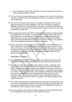- their competence under CILEx standards for practice management (HoLP) or finance and administration (HoFA);
- 87.The HoLP must be an authorised person in relation to one or more of the licensed activities and approved by CILEx Regulation as well as a manager or employee of the licensed body.
- 88.The HoFA of a licensed body must be a manager or employee of the licensed body and approved by CILEx Regulation. We have not sought to impose an obligation on HoFA's to hold some form of financial or accounting qualification as it is considered that this would be disproportionate and too onerous for most small businesses to comply with.
- 89.We would expect HoLPs and HoFAs to demonstrate that they are ready and able to undertake the role however. Prior experience in a similar role would not be a strict requirement. In the absence of this though we would ordinarily expect applicants for such posts to be prepared to undertake some form of training or other professional development in this area to prepare for the role. Our guidance notes to the application will make this clear for applicants.
- 90.HoLPs and HoFAs would not need to necessarily hold a very senior position in the firm (though we would typically expect this to be the case). However, where this is not the case we would need to be satisfied that the individual has access to all relevant information about the business and that there are sound governance arrangements in order to enable the unfettered and effective fulfilment of the relevant duties at all times.

## <span id="page-20-0"></span>*Regulation of conduct*

- 91.The Code of Conduct sets out nine principles, with supporting outcomes which the regulated community are expected to meet when delivering legal services.
- 92.The Code of Conduct is applicable to all members of CILEx, regardless of the grade in which they are registered, CILEx Practitioners and CILEx authorised entities. It is intended to apply equally to all, regardless of the type of work they undertake or the model through which they practice, i.e. employed, self-employed or an owner or manager of an entity. Other regulatory provisions will also apply to those who are subject to the Code, dependent upon type of work. For the purposes of ABS, the conduct provisions are also to be applied directly to all managers and employees of the ABS in accordance with section 83(5)(c) of the Legal Services Act.
- 93.The Code's nine principles incorporate behaviours required of someone who may own a CILEx authorised entity and for those who have gained practice rights. The principles are supported by outcomes and provide the regulated community with information on how to adhere to each principle.
- 94.For those subject to the Code of Conduct it applies both in the professional work they undertake and where relevant to their personal conduct.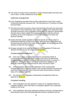95.The Code of Conduct will be extended to include licensed bodies and those who work in them. A draft is attached as Annex XXX

#### <span id="page-21-0"></span>*Indemnity arrangements*

- 96.CILEx Regulation prescribes that an entity authorised by it must have in place Professional Indemnity Insurance (PII). We will extend our PII scheme to include licensed bodies.
- 97.This will ensure that consumers using a licensed body will receive the same level of protection as they would if they were using an existing CILEx authorised entity. All bodies licensed by CILEx Regulation will therefore be required to demonstrate that they have in place suitable PII arrangements, which meet the minimum conditions set by CILEx Regulation in the CILEx Regulation PII Rules and Minimum Wording.
- 98.Activity that falls outside regulated or reserved activity will not be subject to professional indemnity insurance provisions. Where services conducted by the licensed body fall outside of the scope of the insurance, the licensed body will be required to make this clear to clients.
- 99.Changes intended to be made to extend the CILEx Regulation PII Rules and Minimum Wording are set out in Annexes XX and XX.

#### <span id="page-21-1"></span>*Compensation arrangements*

- 100. CILEx has in place a Compensation Fund to recompense clients of a CILEx Authorised Entity who have incurred a loss due to the dishonesty, misappropriation or failure to account of that Authorised Entity, its owners or employees. Civil liability claims, such as for professional negligence, are generally covered by the insurance that an entity must have in place.
- 101. CILEx Regulation will extend the application of the Compensation Arrangements Rules to licensed bodies as we consider that there should be the same level of protection for client money and other assets held by a licensed body as for regulated non-ABS.
- 102. The revised CILEx Regulation Compensation Arrangements Rules are attached as **Annex XX**

#### <span id="page-21-2"></span>*Complaint handling*

- 103. CILEx Regulation has clear guidance in place for its regulated entities for complaint handling. There have been no complaints against CILEx Authorised Entities to LeO so far.
- 104. CILEx Regulation will require applicants seeking to become a licensed body to demonstrate as part of the licensing application process compliance with the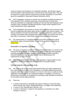Code of Conduct and Guidance on Complaints Handling. We will also require licensed bodies to demonstrate this in annual returns and during visits. They will be required to comply with the requirement to provide information to consumers about the availability of Alternative Dispute Resolution (ADR).

- 105. CILEx Regulation continues to monitor the complaints handling procedures of self-employed CILEx members delivering unreserved work to ensure that minimum standards of complaints handling are met and that self-employed CILEx members have complaints handling procedures in place which signpost to the Legal Ombudsman where appropriate.
- 106. CILEx Regulation will continue to survey CILEx members and consumers with the aim of gathering information about trends in conduct and service matters. This will be extended to include licensed bodies. The data gathered is used to inform members and entities about potential risks and how they may improve the service they offer to consumers. It also feeds into our risk assessment processes.
- 107. The requirements on complaints handling and ADR requirements will be extended to apply to licensed bodies. A copy of the guidance is attached as Annex XXX.

## <span id="page-22-0"></span>*Resolution of regulatory conflicts*

- 108. The issue of regulatory conflict in relation to licensed bodies is covered by the Framework Memorandum of Understanding signed by the approved regulators, licensing authorities and other regulators or professional bodies involved in licensed bodies. This was accepted by the LSB as contributing to the requirements of s.54 of the Act.
- 109. CILEx Regulation co-operates with other regulators of legal entities so that regulation is conducted effectively and efficiently in the public interest.

## <span id="page-22-1"></span>*Internal appeals and appellate body*

110. The IDAR (to be known as the Enforcement Rules) has been broadened by the Licensing Rules to allow CILEx Regulation to consider additional processes required under Part 5 of and Schedule 11 to the Act. We have no evidence of the application of these rules to our authorised entities or managers so far but our enforcement processes are recognised as providing a high standard of protection for the public and the legal profession.

#### 111. These are:

- a review of decisions to disqualify any person working at a licensed body; which includes the owners, designated officers, managers and employees;
- a review of any disqualification decision; and
- a review of decisions in regard to the granting of, revocation of or other change to a licence.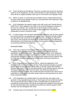- 112. These will allow the Disciplinary Tribunal to consider and review the decisions made by CILEx Regulation. As with current decisions of the Disciplinary Tribunal there will be an appeal available under part IV of the IDAR to the Appeals Panel.
- 113. Where an owner of a licensed body considers that an unfavourable decision has been made by the Appeals Panel, the Licensing Rules will incorporate a right to appeal to an appellate body.
- 114. CILEx Regulation has opted to apply to the HM Courts and Tribunal Service (HMCTS) for these appeals to be made to the General Regulatory Chamber of the First Tier Tribunal. We consider this to be the obvious choice and are satisfied that this Chamber can provide an appropriate level of specialist and independent scrutiny to decisions made.
- 115. A Justice Impact Test has been submitted and approved, and we have agreed the cost structure for any appeals that may be heard. An order formally making the appointed under section 80 of the Legal Services Act would be required in due course. We recognise the timescale for implementation may be affected by external factors and would seek permission to put in place interim arrangements as necessary pending formal approval.

#### <span id="page-23-0"></span>*Accounts Rules*

- 116. CILEx has in place Accounts Rules which prescribe arrangements for managing client and office money. The Accounts Rules apply to all those practising in an authorised entity. These are needed because of the significant risks which arise if necessary controls are not in place. These rules are seen as proportionate and clear to follow by our authorised entities and the evidence from our visits and reviews is that they are providing the necessary protection to consumers.
- 117. CILEx Regulation has considered how to extend the application of the Accounts Rules to licensed bodies and has made contextual changes to provide greater clarity on the application of the Rules. It will also require the individual acting as the Head of Finance and Administration in the licensed body to have the necessary knowledge of the Accounts Rules, and skills and experience in managing financial elements. We consider that there should be the same level of protection for client money and other assets held by a licensed body as for other CILEx authorised entities.
- 118. CILEx Regulation has clarified within the rules that they only apply to the provision of any regulated legal activity or other legal services by licensed bodies. The Accounts Rules will not apply to other complementary non-legal services provided by licensed bodies. We will be encouraging the adoption of best practice for new licensed bodies and considering how they use external support to both minimise risk and strengthen their entity.
- 119. A tracked copy of the proposed rules can be found at Annex XXXX.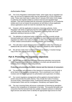## <span id="page-24-0"></span>*Authorisation Rules*

- 120. The CILEx Regulation Authorisation Rules, which apply only to regulated non-ABS, set out how an applicant entity may be authorised as a CILEx Authorised entity. These rules have been in place since 5 January 2015 when CILEx began to authorise and regulate entities to conduct reserved and regulated legal activities. They have provided both the necessary mechanisms for us to authorise entities and to set out clearly the procedures we will follow to those applicants whose applications would not meet the standards that we require.
- 121. However, with the application to become a licensing authority, CILEx Regulation will clarify to applicants that the Authorisation Rules will only apply to non-ABS entities and that the CILEx Regulation Licensing Rules will cover applicants wishing to become an ABS.
- 122. The definition of authorised entity in the Rules does not currently include licensed bodies but it will be used more widely to cover both licensed bodies and regulated non-ABS in the Code of Conduct, in other CILEx Regulation Rules and in other related communications including websites and handbooks.
- 123. This will make it easier for consumers to understand rather than creating an additional title and will be in line with the approach adopted by other regulators.
- 124. We will also make minor contextual changes to wording. A tracked change copy of the rules can be found at Annex XXXX.

# <span id="page-24-1"></span>**Part 4: Promoting the regulatory objectives**

125. The Act sets out eight objectives which licensing authorities must promote. CILEx Regulation promotes these objectives in its work and will extend this to licensing once it becomes a licensing authority.

#### <span id="page-24-2"></span>**Protecting and promoting the public interest and the interests of consumers**

- 126. The protection and promotion of the interests of consumers and the public is at the heart of our regulatory arrangements. This is enshrined in our Code of Conduct and risk based approach to authorisation and supervision of entities.
- 127. Our current regulatory arrangements will be applied to licensed bodies to protect and promote the public interest. They include the Code of Conduct, Accounts Rules, Authorisation Rules, Professional Indemnity Insurance Rules, Compensation Rules and the Investigation, Disciplinary and Appeal Rules.
- 128. The new Licensing Rules will ensure continuation of licensing by specialism based on the competence of individuals in the body. This assures the public and consumers that the licensed body has suitably competent advisors in delivering legal services and allows them to identify the appropriate legal service for their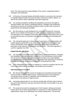need. This will include the responsibilities of the owners, designated officers, managers and employees.

- 129. A Directory of licensed bodies will identify clearly to consumers the reserved or regulated legal activities the body has been assessed as able to deliver, as well as the roles for which individuals have been approved.
- 130. Our existing complaints handling and disciplinary processes will apply to licensed bodies, their owners, designated officers, managers and employees, protecting consumers by handling complaints about conduct with recourse to proportionate and adequate penalties.
- 131. We will continue to seek feedback from consumers through the consumer section of our website and through our wider consumer engagement activities. The education of our regulated community will include licensed bodies with a view to improving services to consumers and thereby protecting and promoting their interests.
- 132. The risk based approach to licensing and supervision of licensed bodies will enable regular assessments to be made of the risks that licensed bodies may pose to the delivery of the regulatory objectives, particularly protection and promotion of the interests of consumers and the public. This same approach is used for regulated non-ABS.

#### <span id="page-25-0"></span>**Supporting the rule of law**

- 133. The regulation of licensed bodies, their owners, designated officers, managers and employees will maintain public confidence in the mechanisms which protect the rule of law and protect the belief that balanced rights and responsibilities provide just outcomes for citizens. CILEx Regulation has experience of achieving this objective through its scheme of regulation of authorised non-ABS.
- 134. CILEx Regulation will continue to regulate in a manner consistent with the rule of law, and ensure that its regulation is accessible and consistent.

#### <span id="page-25-1"></span>**Improving access to justice**

- 135. We will look to expand the sector by bringing new specialist licensed bodies into the market to provide legal services, improving access to the profession, increasing choice of routes to regulation and the allowing for innovative approaches to the delivery of legal services.
- 136. Increasing opportunities for our diverse membership will help reduce barriers this part of the profession may face and which limit their current ability to set up a licensed body.
- 137. The social and economic background of CILEx lawyers setting up licensed bodies will serve to widen opportunities for consumers to seek assistance from organisations made up of individuals from similar backgrounds. This will help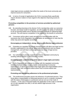make legal services available that reflect the needs of the local community and improve access for consumers.

138. In terms of receipt of applications the CILEx Licensing Rules specifically require decision makers to have regard to the objective improving access to justice.

#### <span id="page-26-0"></span>**Promoting competition in the provision of services provided by authorised persons**

- 139. By extending licensing to the diverse CILEx membership under our outcomes focused, risk based model of regulation, we will increase the ability of individuals to set up licensed bodies and to develop innovative methods for delivering legal services. This will improve competition in the market for the benefit of consumers.
- 140. Consumers will be able to seek services from licensed bodies with the assurance that CILEx Regulation has undertaken an assessment of risks that the entity may pose and regulate accordingly.

#### <span id="page-26-1"></span>**Encouraging an independent, strong, diverse and effective legal profession**

- 141. Extending our regulation to include licensed bodies will allow new legal service provider organisations to be set up, allow external investment and non-lawyer management, and will help to encourage a diverse range of legal service providers.
- 142. Our authorisation process supports our diverse regulated community by avoiding artificial barriers or discriminatory hurdles.

#### <span id="page-26-2"></span>**Increasing public understanding of the citizen's legal rights and duties**

143. CILEx Regulation will continue to engage with the regulated community, including licensed bodies, to gain a better understanding of consumer expectations, to inform consumers of their legal rights and responsibilities and to empower them with confidence about where how to access advice and representation.

#### <span id="page-26-3"></span>**Promoting and maintaining adherence to the professional principles**

144. The professional principles govern the behaviour of authorised persons. They firmly place a responsibility on authorised persons to act in a manner consistent with the status of belonging to a profession and are set out in the Code of Conduct. In the case of licensed bodies the application of the Code is extended, as it is with regulated non-ABS, to all who deliver legal services in the organisation.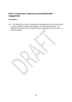# <span id="page-27-0"></span>**Part 5: Governance, Resources and Stakeholder engagement**

#### <span id="page-27-1"></span>**Governance**

145. We have set out in Part 1 the governance arrangements that we have in place to ensure separation between the regulatory and representative bodies. The following chart shows the current governance structure that we have in place to provide oversight.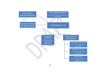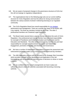- 146. We are aware of proposed changes to the governance structure at CILEx but this will not impinge on regulatory independence.
- 147. The organisational chart on the following page sets out our current staffing structure for CILEx Regulation and how this allows for strong communication between the various sections involved in delivering licensing to our regulated community.
- 148. The CILEx Regulation Board has overall responsibility for [our strategy,](http://www.cilexregulation.org.uk/%7E/media/pdf_documents/cilex-regulation/corporate/cilex-regulation-strategy-2017-19-final.pdf?la=en) performance and management. There are currently five seats on the Board, with a lay majority. The three lay members include the lay Chair. The other 2 professional members are Chartered Legal Executives.
- 149. The Board meets several times a year to oversee and direct the work of CILEx Regulation. One professional and one lay member have joint lead responsibility for oversight of Practitioner and Entity Authorisation and Supervision and for Education and Standards. The other professional and lay member has joint lead responsibility for oversight of Enforcement, Consumer and Stakeholder Engagement, promotion of Equality and Diversity, and Governance.
- 150. We have a number of independent committees to support the assessment and enforcement processes made up of a mixture of professional and lay members.
- 151. The ABS application process will be informed by the Strategic Risk Committee which provides oversight on the development and application of the risk framework as well as providing an internal review of decisions to refuse or revoke a licence.
- 152. We are confident that the current arrangements we have in place are sufficiently robust to deal with any risks associated with becoming a licensing authority.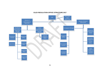#### **CILEX REGULATION OFFICE STRUCTURE 2017**

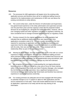## **Resources**

- 153. The processes for ABS applications will largely mirror the existing entity application process and therefore there will be no additional staffing resource required for the implementation and maintenance of ABS over and above the existing commitments to entity delivery.
- 154. The current entity team, under the Director of Authorisation and Supervision, has gained broad experience in the entity authorisation and supervision process over the past three years and has capacity to deal with the projected modest demand we are budgeting for, alongside the traditional entities. However, with an ever changing market and other regulators consulting on regulatory switching, we have considered how to manage increased demand that fits our regulatory model.
- 155. Previous research for the original applications for entity regulation had indicated that an additional relationship officer was required each time applications exceeded a total of 50. This was a guide calculated on the time required for assessing an application and then the ongoing monitoring and supervision that the entity required. It would be dependent on workload involved with the entity, their size and their risk profile. This is reviewed with the relationship officer as part of the appraisal process.
- 156. Allowing for these factors, we have reviewed this figure in line with our current experience of entity authorisation. We have also considered staffing provision where demand is higher than anticipated and we are confident that resources will be sufficient and where necessary can be supplemented using secondment, parttime workers and fixed term contracts to manage any short term demand.
- 157. We recognise the importance of understanding the non-legal professional business owners of ABS and that will be a key area of focus for future training within CILEx Regulation. The Entity and Client Protection Manager, who manages the Anti Money Laundering supervision, has a significant background as a Commercial Manager for a leading High Street bank and therefore has extensive experience in assessing business ownership.
- 158. Our existing premises are adequate and we have engaged with third parties on potential changes to our IT systems to allow for ABS applications and the secure maintenance of new data. These will include additional tools for managing an application, supervision of an entity and the two-way sharing of risk information.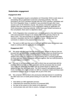## <span id="page-32-0"></span>**Stakeholder engagement**

#### **Engagement 2016**

- 159. CILEx Regulation issued a consultation on 8 December 2015 to seek views on proceeding with an application to become a licensing authority. This was promoted to all CILEx members through both the CILEx member's newsletter and the CILEx Regulation News. In addition it was promoted through other news sources such as the Solicitors Journal. The primary consultation question was whether there was agreement to CILEx Regulation making an application for CILEx becoming a Licensing Authority. Whilst there were limited comments on this consultation, there were no objections raised.
- 160. CILEx Regulation then consulted over a 10 week period on the draft licensing rules and associated changes to its related rules from 7 January 2016 to 18 March 2016. This was promoted to all CILEx members through the CILEx member's newsletter and the CILEx Regulation News. We received no comments in relation to the proposed licensing rules.
- 161. The work on ABS was then put on hold until late 2016 when the decision was made to continue with the application for designation.

#### **Engagement 2017**

- 162. We spoke with the Legal Services Board in early January to discuss how we proceed with our stakeholder engagement and the key areas we should focus on. They advised that they believed that the original consultation had dealt with whether there were any objections to us proceeding with a Licensing application. As there had been limited comments and none against, then we could proceed to the next stage of consultation.
- 163. This part of our consultation work was to inform how we would deal with the practical differences with an ABS application and the processes that we would use to gain the additional information that we would require to address the additional risks that ABS might pose. The 2015 research had gathered details of CILEx members who might consider an ABS as a business model and these were considered important for us to engage with as part of this work.
- 164. We contacted 194 members who previously indicated interest in considering the ABS route over a 6 week period closing on 9 June 2017. We asked how we may:
	- best deliver an ABS application process:
	- understand the ownership structure of a proposed ABS;
	- be clear at the outset on who needs to be approved;
	- communicate rules and risks to owners, managers and employees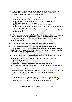- 165. We received 44 responses to our survey, which will be used to inform and develop further both our ABS risk assessment and our ABS application processes. The key points are summarised below:
	- a structured format for applicants to supply key ownership information, enabling us to understand risk at an early stage;
	- applicants wanting to understand the key roles in an ABS and the qualifications required for those roles;
	- the professional indemnity insurance requirements for ABS;
	- dedicated support during initial enquires and then the application process from CILEx and CILEx Regulation; and
	- support managing risk for ABS staff with understanding regulation and how it applies to them.
- 166. The responses also captured information that can assist CILEx on developing future training requirements, particularly around practice management and accounts management. This will help prepare those CILEx members seeking to run their own law firm.
- 167. Full details of the survey and responses are included at **Annex XXX**
- 168. CILEx had commissioned a variety of pieces of work in January 2017 including research into existing SRA regulated ABS firms. This was shared with CILEx Regulation as part of ongoing work into our regulated community and the process of becoming a regulated entity.
- 169. The key areas that were identified that would have significance for us were:
	- that firms opted for their own regulator due to familiarity, habit and a perception of risk;
	- the application process needed to be proportionate for a firms size;
	- small firms need as much personal support and guidance; and
	- applicants are open to other regulators if they deliver better perceived value.
- <span id="page-33-0"></span>170. This information will be used to help shape further our current entity authorisation process, the ABS application process and the type of support that is provided by both CILEx and CILEx Regulation, maintaining appropriate separation of responsibilities.
- 171. The details of the consultation responses are covered in Annex **XX**. Where responders details are included in the body of the research, then this may be redacted or, if this is not possible, then the document removed.

## **Timetable for operational implementation**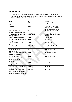#### **Implementation:**

172. Both during the period between submission and decision and once the application has been approved by the LSB, CILEx and CILEx Regulation will need to undertake the following activities:

| <b>What</b>                                                                               | Who               | When                                                                     |
|-------------------------------------------------------------------------------------------|-------------------|--------------------------------------------------------------------------|
| Submission of application to<br><b>LSB</b>                                                | <b>CRL</b>        | August 2017                                                              |
| Decision                                                                                  | <b>LSB</b>        | Up to 12 months from<br>submission, but working<br>towards February 2018 |
| Gain access to First Tier<br>Tribunal provision for appeals                               | <b>CRL</b>        | March - August 2018                                                      |
| Develop communications<br>strategy for ABS                                                | <b>CRL/CILEx</b>  | September 2017 and on-<br>going                                          |
| Identify IT requirements                                                                  | <b>CRL</b>        | September 2017                                                           |
| Review costs of application<br>for regulation                                             | <b>CRL</b>        | October 2017                                                             |
| Training for CILEx and CRL<br>staff                                                       | <b>CRL</b>        | October 2017                                                             |
| Website updates                                                                           | <b>CILEx/CRL</b>  | October 2017 & February<br>2017                                          |
| Implementation of IT<br>requirements                                                      | <b>IT/CRL</b>     | December 2017                                                            |
| Review of entity application<br>process to streamline                                     | CRL               | December 2017                                                            |
| Develop policies,<br>procedures, application<br>documentation and<br>guidance             | CRL               | December 2017                                                            |
| Continue to pursue options<br>for PII                                                     | <b>CRL</b>        | On-going                                                                 |
| Continue to pursue lender<br>panel solutions                                              | <b>CRL</b>        | On-going                                                                 |
| <b>Consider other services</b><br>which would provide added<br>value to regulation by CRL | <b>CILEx/ CRL</b> | On-going                                                                 |